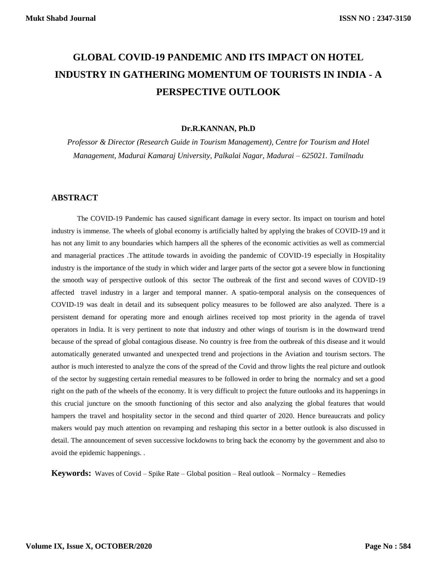# **GLOBAL COVID-19 PANDEMIC AND ITS IMPACT ON HOTEL INDUSTRY IN GATHERING MOMENTUM OF TOURISTS IN INDIA - A PERSPECTIVE OUTLOOK**

#### **Dr.R.KANNAN, Ph.D**

*Professor & Director (Research Guide in Tourism Management), Centre for Tourism and Hotel Management, Madurai Kamaraj University, Palkalai Nagar, Madurai – 625021. Tamilnadu*

## **ABSTRACT**

The COVID-19 Pandemic has caused significant damage in every sector. Its impact on tourism and hotel industry is immense. The wheels of global economy is artificially halted by applying the brakes of COVID-19 and it has not any limit to any boundaries which hampers all the spheres of the economic activities as well as commercial and managerial practices .The attitude towards in avoiding the pandemic of COVID-19 especially in Hospitality industry is the importance of the study in which wider and larger parts of the sector got a severe blow in functioning the smooth way of perspective outlook of this sector The outbreak of the first and second waves of COVID-19 affected travel industry in a larger and temporal manner. A spatio-temporal analysis on the consequences of COVID-19 was dealt in detail and its subsequent policy measures to be followed are also analyzed. There is a persistent demand for operating more and enough airlines received top most priority in the agenda of travel operators in India. It is very pertinent to note that industry and other wings of tourism is in the downward trend because of the spread of global contagious disease. No country is free from the outbreak of this disease and it would automatically generated unwanted and unexpected trend and projections in the Aviation and tourism sectors. The author is much interested to analyze the cons of the spread of the Covid and throw lights the real picture and outlook of the sector by suggesting certain remedial measures to be followed in order to bring the normalcy and set a good right on the path of the wheels of the economy. It is very difficult to project the future outlooks and its happenings in this crucial juncture on the smooth functioning of this sector and also analyzing the global features that would hampers the travel and hospitality sector in the second and third quarter of 2020. Hence bureaucrats and policy makers would pay much attention on revamping and reshaping this sector in a better outlook is also discussed in detail. The announcement of seven successive lockdowns to bring back the economy by the government and also to avoid the epidemic happenings. .

**Keywords:** Waves of Covid – Spike Rate – Global position – Real outlook – Normalcy – Remedies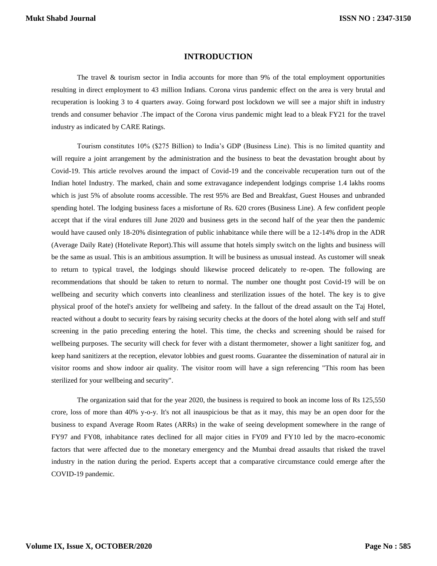## **INTRODUCTION**

The travel & tourism sector in India accounts for more than 9% of the total employment opportunities resulting in direct employment to 43 million Indians. Corona virus pandemic effect on the area is very brutal and recuperation is looking 3 to 4 quarters away. Going forward post lockdown we will see a major shift in industry trends and consumer behavior .The impact of the Corona virus pandemic might lead to a bleak FY21 for the travel industry as indicated by CARE Ratings.

Tourism constitutes 10% (\$275 Billion) to India's GDP (Business Line). This is no limited quantity and will require a joint arrangement by the administration and the business to beat the devastation brought about by Covid-19. This article revolves around the impact of Covid-19 and the conceivable recuperation turn out of the Indian hotel Industry. The marked, chain and some extravagance independent lodgings comprise 1.4 lakhs rooms which is just 5% of absolute rooms accessible. The rest 95% are Bed and Breakfast, Guest Houses and unbranded spending hotel. The lodging business faces a misfortune of Rs. 620 crores (Business Line). A few confident people accept that if the viral endures till June 2020 and business gets in the second half of the year then the pandemic would have caused only 18-20% disintegration of public inhabitance while there will be a 12-14% drop in the ADR (Average Daily Rate) (Hotelivate Report).This will assume that hotels simply switch on the lights and business will be the same as usual. This is an ambitious assumption. It will be business as unusual instead. As customer will sneak to return to typical travel, the lodgings should likewise proceed delicately to re-open. The following are recommendations that should be taken to return to normal. The number one thought post Covid-19 will be on wellbeing and security which converts into cleanliness and sterilization issues of the hotel. The key is to give physical proof of the hotel's anxiety for wellbeing and safety. In the fallout of the dread assault on the Taj Hotel, reacted without a doubt to security fears by raising security checks at the doors of the hotel along with self and stuff screening in the patio preceding entering the hotel. This time, the checks and screening should be raised for wellbeing purposes. The security will check for fever with a distant thermometer, shower a light sanitizer fog, and keep hand sanitizers at the reception, elevator lobbies and guest rooms. Guarantee the dissemination of natural air in visitor rooms and show indoor air quality. The visitor room will have a sign referencing "This room has been sterilized for your wellbeing and security".

The organization said that for the year 2020, the business is required to book an income loss of Rs 125,550 crore, loss of more than 40% y-o-y. It's not all inauspicious be that as it may, this may be an open door for the business to expand Average Room Rates (ARRs) in the wake of seeing development somewhere in the range of FY97 and FY08, inhabitance rates declined for all major cities in FY09 and FY10 led by the macro-economic factors that were affected due to the monetary emergency and the Mumbai dread assaults that risked the travel industry in the nation during the period. Experts accept that a comparative circumstance could emerge after the COVID-19 pandemic.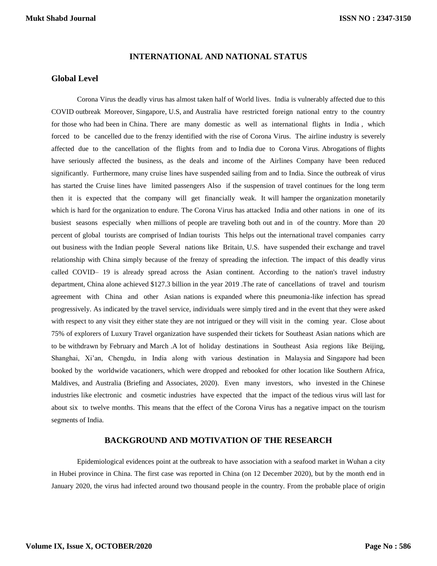#### **INTERNATIONAL AND NATIONAL STATUS**

## **Global Level**

Corona Virus the deadly virus has almost taken half of World lives. India is vulnerably affected due to this COVID outbreak Moreover, Singapore, U.S, and Australia have restricted foreign national entry to the country for those who had been in China. There are many domestic as well as international flights in India , which forced to be cancelled due to the frenzy identified with the rise of Corona Virus. The airline industry is severely affected due to the cancellation of the flights from and to India due to Corona Virus. Abrogations of flights have seriously affected the business, as the deals and income of the Airlines Company have been reduced significantly. Furthermore, many cruise lines have suspended sailing from and to India. Since the outbreak of virus has started the Cruise lines have limited passengers Also if the suspension of travel continues for the long term then it is expected that the company will get financially weak. It will hamper the organization monetarily which is hard for the organization to endure. The Corona Virus has attacked India and other nations in one of its busiest seasons especially when millions of people are traveling both out and in of the country. More than 20 percent of global tourists are comprised of Indian tourists This helps out the international travel companies carry out business with the Indian people Several nations like Britain, U.S. have suspended their exchange and travel relationship with China simply because of the frenzy of spreading the infection. The impact of this deadly virus called COVID– 19 is already spread across the Asian continent. According to the nation's travel industry department, China alone achieved \$127.3 billion in the year 2019 .The rate of cancellations of travel and tourism agreement with China and other Asian nations is expanded where this pneumonia-like infection has spread progressively. As indicated by the travel service, individuals were simply tired and in the event that they were asked with respect to any visit they either state they are not intrigued or they will visit in the coming year. Close about 75% of explorers of Luxury Travel organization have suspended their tickets for Southeast Asian nations which are to be withdrawn by February and March .A lot of holiday destinations in Southeast Asia regions like Beijing, Shanghai, Xi'an, Chengdu, in India along with various destination in Malaysia and Singapore had been booked by the worldwide vacationers, which were dropped and rebooked for other location like Southern Africa, Maldives, and Australia (Briefing and Associates, 2020). Even many investors, who invested in the Chinese industries like electronic and cosmetic industries have expected that the impact of the tedious virus will last for about six to twelve months. This means that the effect of the Corona Virus has a negative impact on the tourism segments of India.

## **BACKGROUND AND MOTIVATION OF THE RESEARCH**

Epidemiological evidences point at the outbreak to have association with a seafood market in Wuhan a city in Hubei province in China. The first case was reported in China (on 12 December 2020), but by the month end in January 2020, the virus had infected around two thousand people in the country. From the probable place of origin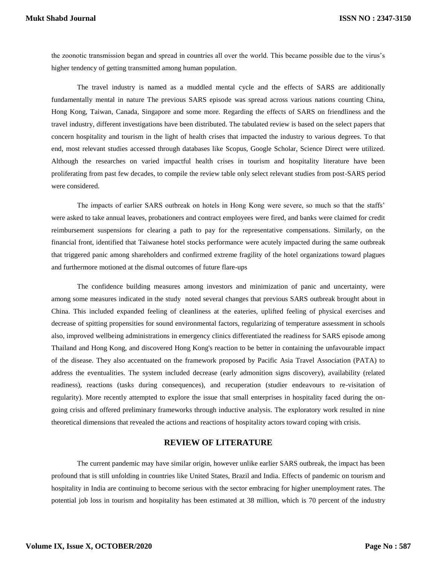the zoonotic transmission began and spread in countries all over the world. This became possible due to the virus's higher tendency of getting transmitted among human population.

The travel industry is named as a muddled mental cycle and the effects of SARS are additionally fundamentally mental in nature The previous SARS episode was spread across various nations counting China, Hong Kong, Taiwan, Canada, Singapore and some more. Regarding the effects of SARS on friendliness and the travel industry, different investigations have been distributed. The tabulated review is based on the select papers that concern hospitality and tourism in the light of health crises that impacted the industry to various degrees. To that end, most relevant studies accessed through databases like Scopus, Google Scholar, Science Direct were utilized. Although the researches on varied impactful health crises in tourism and hospitality literature have been proliferating from past few decades, to compile the review table only select relevant studies from post-SARS period were considered.

The impacts of earlier SARS outbreak on hotels in Hong Kong were severe, so much so that the staffs' were asked to take annual leaves, probationers and contract employees were fired, and banks were claimed for credit reimbursement suspensions for clearing a path to pay for the representative compensations. Similarly, on the financial front, identified that Taiwanese hotel stocks performance were acutely impacted during the same outbreak that triggered panic among shareholders and confirmed extreme fragility of the hotel organizations toward plagues and furthermore motioned at the dismal outcomes of future flare-ups

The confidence building measures among investors and minimization of panic and uncertainty, were among some measures indicated in the study noted several changes that previous SARS outbreak brought about in China. This included expanded feeling of cleanliness at the eateries, uplifted feeling of physical exercises and decrease of spitting propensities for sound environmental factors, regularizing of temperature assessment in schools also, improved wellbeing administrations in emergency clinics differentiated the readiness for SARS episode among Thailand and Hong Kong, and discovered Hong Kong's reaction to be better in containing the unfavourable impact of the disease. They also accentuated on the framework proposed by Pacific Asia Travel Association (PATA) to address the eventualities. The system included decrease (early admonition signs discovery), availability (related readiness), reactions (tasks during consequences), and recuperation (studier endeavours to re-visitation of regularity). More recently attempted to explore the issue that small enterprises in hospitality faced during the ongoing crisis and offered preliminary frameworks through inductive analysis. The exploratory work resulted in nine theoretical dimensions that revealed the actions and reactions of hospitality actors toward coping with crisis.

## **REVIEW OF LITERATURE**

The current pandemic may have similar origin, however unlike earlier SARS outbreak, the impact has been profound that is still unfolding in countries like United States, Brazil and India. Effects of pandemic on tourism and hospitality in India are continuing to become serious with the sector embracing for higher unemployment rates. The potential job loss in tourism and hospitality has been estimated at 38 million, which is 70 percent of the industry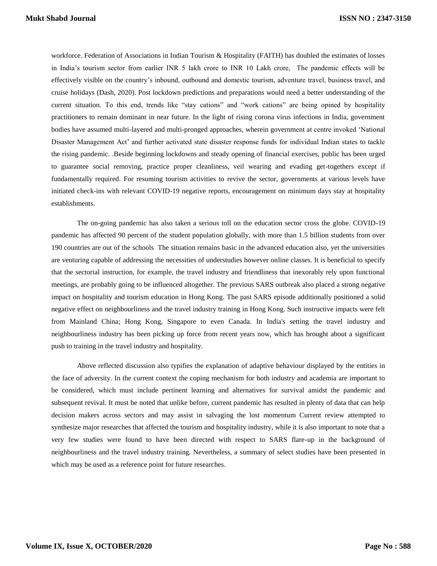workforce. Federation of Associations in Indian Tourism & Hospitality (FAITH) has doubled the estimates of losses in India's tourism sector from earlier INR 5 lakh crore to INR 10 Lakh crore, The pandemic effects will be effectively visible on the country's inbound, outbound and domestic tourism, adventure travel, business travel, and cruise holidays (Dash, 2020). Post lockdown predictions and preparations would need a better understanding of the current situation. To this end, trends like "stay cations" and "work cations" are being opined by hospitality practitioners to remain dominant in near future. In the light of rising corona virus infections in India, government bodies have assumed multi-layered and multi-pronged approaches, wherein government at centre invoked 'National Disaster Management Act' and further activated state disaster response funds for individual Indian states to tackle the rising pandemic. .Beside beginning lockdowns and steady opening of financial exercises, public has been urged to guarantee social removing, practice proper cleanliness, veil wearing and evading get-togethers except if fundamentally required. For resuming tourism activities to revive the sector, governments at various levels have initiated check-ins with relevant COVID-19 negative reports, encouragement on minimum days stay at hospitality establishments.

The on-going pandemic has also taken a serious toll on the education sector cross the globe. COVID-19 pandemic has affected 90 percent of the student population globally, with more than 1.5 billion students from over 190 countries are out of the schools The situation remains basic in the advanced education also, yet the universities are venturing capable of addressing the necessities of understudies however online classes. It is beneficial to specify that the sectorial instruction, for example, the travel industry and friendliness that inexorably rely upon functional meetings, are probably going to be influenced altogether. The previous SARS outbreak also placed a strong negative impact on hospitality and tourism education in Hong Kong. The past SARS episode additionally positioned a solid negative effect on neighbourliness and the travel industry training in Hong Kong. Such instructive impacts were felt from Mainland China; Hong Kong, Singapore to even Canada. In India's setting the travel industry and neighbourliness industry has been picking up force from recent years now, which has brought about a significant push to training in the travel industry and hospitality.

Above reflected discussion also typifies the explanation of adaptive behaviour displayed by the entities in the face of adversity. In the current context the coping mechanism for both industry and academia are important to be considered, which must include pertinent learning and alternatives for survival amidst the pandemic and subsequent revival. It must be noted that unlike before, current pandemic has resulted in plenty of data that can help decision makers across sectors and may assist in salvaging the lost momentum Current review attempted to synthesize major researches that affected the tourism and hospitality industry, while it is also important to note that a very few studies were found to have been directed with respect to SARS flare-up in the background of neighbourliness and the travel industry training. Nevertheless, a summary of select studies have been presented in which may be used as a reference point for future researches.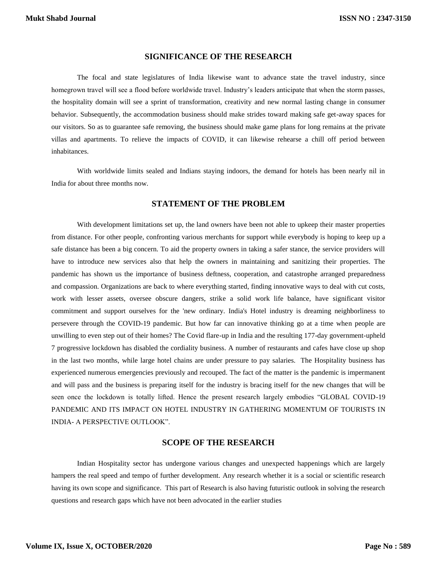## **SIGNIFICANCE OF THE RESEARCH**

The focal and state legislatures of India likewise want to advance state the travel industry, since homegrown travel will see a flood before worldwide travel. Industry's leaders anticipate that when the storm passes, the hospitality domain will see a sprint of transformation, creativity and new normal lasting change in consumer behavior. Subsequently, the accommodation business should make strides toward making safe get-away spaces for our visitors. So as to guarantee safe removing, the business should make game plans for long remains at the private villas and apartments. To relieve the impacts of COVID, it can likewise rehearse a chill off period between inhabitances.

With worldwide limits sealed and Indians staying indoors, the demand for hotels has been nearly nil in India for about three months now.

## **STATEMENT OF THE PROBLEM**

With development limitations set up, the land owners have been not able to upkeep their master properties from distance. For other people, confronting various merchants for support while everybody is hoping to keep up a safe distance has been a big concern. To aid the property owners in taking a safer stance, the service providers will have to introduce new services also that help the owners in maintaining and sanitizing their properties. The pandemic has shown us the importance of business deftness, cooperation, and catastrophe arranged preparedness and compassion. Organizations are back to where everything started, finding innovative ways to deal with cut costs, work with lesser assets, oversee obscure dangers, strike a solid work life balance, have significant visitor commitment and support ourselves for the 'new ordinary. India's Hotel industry is dreaming neighborliness to persevere through the COVID-19 pandemic. But how far can innovative thinking go at a time when people are unwilling to even step out of their homes? The Covid flare-up in India and the resulting 177-day government-upheld 7 progressive lockdown has disabled the cordiality business. A number of restaurants and cafes have close up shop in the last two months, while large hotel chains are under pressure to pay salaries. The Hospitality business has experienced numerous emergencies previously and recouped. The fact of the matter is the pandemic is impermanent and will pass and the business is preparing itself for the industry is bracing itself for the new changes that will be seen once the lockdown is totally lifted. Hence the present research largely embodies "GLOBAL COVID-19 PANDEMIC AND ITS IMPACT ON HOTEL INDUSTRY IN GATHERING MOMENTUM OF TOURISTS IN INDIA- A PERSPECTIVE OUTLOOK".

## **SCOPE OF THE RESEARCH**

Indian Hospitality sector has undergone various changes and unexpected happenings which are largely hampers the real speed and tempo of further development. Any research whether it is a social or scientific research having its own scope and significance. This part of Research is also having futuristic outlook in solving the research questions and research gaps which have not been advocated in the earlier studies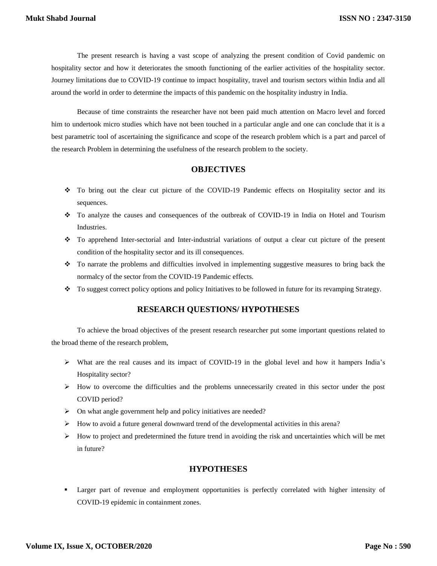The present research is having a vast scope of analyzing the present condition of Covid pandemic on hospitality sector and how it deteriorates the smooth functioning of the earlier activities of the hospitality sector. Journey limitations due to COVID-19 continue to impact hospitality, travel and tourism sectors within India and all around the world in order to determine the impacts of this pandemic on the hospitality industry in India.

Because of time constraints the researcher have not been paid much attention on Macro level and forced him to undertook micro studies which have not been touched in a particular angle and one can conclude that it is a best parametric tool of ascertaining the significance and scope of the research problem which is a part and parcel of the research Problem in determining the usefulness of the research problem to the society.

## **OBJECTIVES**

- \* To bring out the clear cut picture of the COVID-19 Pandemic effects on Hospitality sector and its sequences.
- \* To analyze the causes and consequences of the outbreak of COVID-19 in India on Hotel and Tourism Industries.
- To apprehend Inter-sectorial and Inter-industrial variations of output a clear cut picture of the present condition of the hospitality sector and its ill consequences.
- To narrate the problems and difficulties involved in implementing suggestive measures to bring back the normalcy of the sector from the COVID-19 Pandemic effects.
- \* To suggest correct policy options and policy Initiatives to be followed in future for its revamping Strategy.

### **RESEARCH QUESTIONS/ HYPOTHESES**

To achieve the broad objectives of the present research researcher put some important questions related to the broad theme of the research problem,

- $\triangleright$  What are the real causes and its impact of COVID-19 in the global level and how it hampers India's Hospitality sector?
- $\triangleright$  How to overcome the difficulties and the problems unnecessarily created in this sector under the post COVID period?
- $\triangleright$  On what angle government help and policy initiatives are needed?
- $\triangleright$  How to avoid a future general downward trend of the developmental activities in this arena?
- $\triangleright$  How to project and predetermined the future trend in avoiding the risk and uncertainties which will be met in future?

## **HYPOTHESES**

 Larger part of revenue and employment opportunities is perfectly correlated with higher intensity of COVID-19 epidemic in containment zones.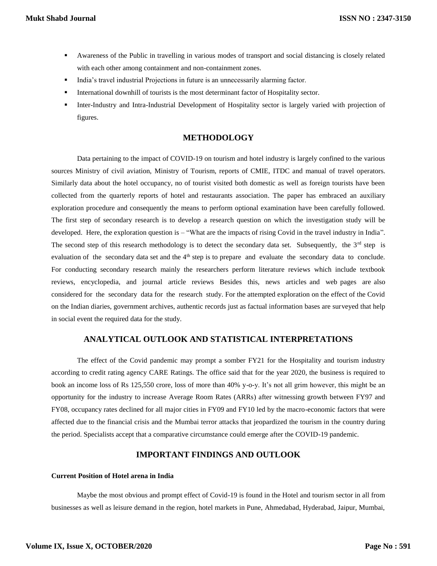- Awareness of the Public in travelling in various modes of transport and social distancing is closely related with each other among containment and non-containment zones.
- India's travel industrial Projections in future is an unnecessarily alarming factor.
- International downhill of tourists is the most determinant factor of Hospitality sector.
- Inter-Industry and Intra-Industrial Development of Hospitality sector is largely varied with projection of figures.

## **METHODOLOGY**

Data pertaining to the impact of COVID-19 on tourism and hotel industry is largely confined to the various sources Ministry of civil aviation, Ministry of Tourism, reports of CMIE, ITDC and manual of travel operators. Similarly data about the hotel occupancy, no of tourist visited both domestic as well as foreign tourists have been collected from the quarterly reports of hotel and restaurants association. The paper has embraced an auxiliary exploration procedure and consequently the means to perform optional examination have been carefully followed. The first step of secondary research is to develop a research question on which the investigation study will be developed. Here, the exploration question is – "What are the impacts of rising Covid in the travel industry in India". The second step of this research methodology is to detect the secondary data set. Subsequently, the  $3<sup>rd</sup>$  step is evaluation of the secondary data set and the 4<sup>th</sup> step is to prepare and evaluate the secondary data to conclude. For conducting secondary research mainly the researchers perform literature reviews which include textbook reviews, encyclopedia, and journal article reviews Besides this, news articles and web pages are also considered for the secondary data for the research study. For the attempted exploration on the effect of the Covid on the Indian diaries, government archives, authentic records just as factual information bases are surveyed that help in social event the required data for the study.

## **ANALYTICAL OUTLOOK AND STATISTICAL INTERPRETATIONS**

The effect of the Covid pandemic may prompt a somber FY21 for the Hospitality and tourism industry according to credit rating agency CARE Ratings. The office said that for the year 2020, the business is required to book an income loss of Rs 125,550 crore, loss of more than 40% y-o-y. It's not all grim however, this might be an opportunity for the industry to increase Average Room Rates (ARRs) after witnessing growth between FY97 and FY08, occupancy rates declined for all major cities in FY09 and FY10 led by the macro-economic factors that were affected due to the financial crisis and the Mumbai terror attacks that jeopardized the tourism in the country during the period. Specialists accept that a comparative circumstance could emerge after the COVID-19 pandemic.

### **IMPORTANT FINDINGS AND OUTLOOK**

#### **Current Position of Hotel arena in India**

Maybe the most obvious and prompt effect of Covid-19 is found in the Hotel and tourism sector in all from businesses as well as leisure demand in the region, hotel markets in Pune, Ahmedabad, Hyderabad, Jaipur, Mumbai,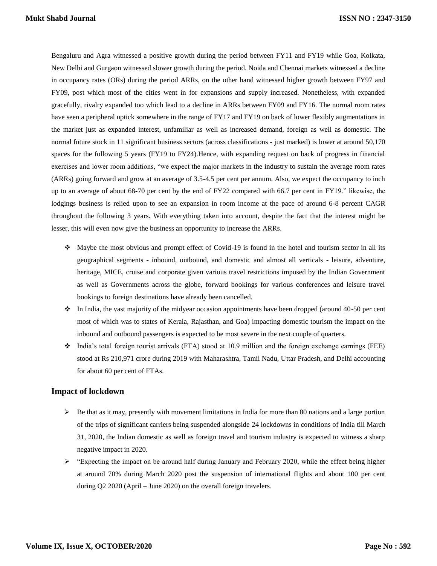Bengaluru and Agra witnessed a positive growth during the period between FY11 and FY19 while Goa, Kolkata, New Delhi and Gurgaon witnessed slower growth during the period. Noida and Chennai markets witnessed a decline in occupancy rates (ORs) during the period ARRs, on the other hand witnessed higher growth between FY97 and FY09, post which most of the cities went in for expansions and supply increased. Nonetheless, with expanded gracefully, rivalry expanded too which lead to a decline in ARRs between FY09 and FY16. The normal room rates have seen a peripheral uptick somewhere in the range of FY17 and FY19 on back of lower flexibly augmentations in the market just as expanded interest, unfamiliar as well as increased demand, foreign as well as domestic. The normal future stock in 11 significant business sectors (across classifications - just marked) is lower at around 50,170 spaces for the following 5 years (FY19 to FY24).Hence, with expanding request on back of progress in financial exercises and lower room additions, "we expect the major markets in the industry to sustain the average room rates (ARRs) going forward and grow at an average of 3.5-4.5 per cent per annum. Also, we expect the occupancy to inch up to an average of about 68-70 per cent by the end of FY22 compared with 66.7 per cent in FY19." likewise, the lodgings business is relied upon to see an expansion in room income at the pace of around 6-8 percent CAGR throughout the following 3 years. With everything taken into account, despite the fact that the interest might be lesser, this will even now give the business an opportunity to increase the ARRs.

- $\bullet$  Maybe the most obvious and prompt effect of Covid-19 is found in the hotel and tourism sector in all its geographical segments - inbound, outbound, and domestic and almost all verticals - leisure, adventure, heritage, MICE, cruise and corporate given various travel restrictions imposed by the Indian Government as well as Governments across the globe, forward bookings for various conferences and leisure travel bookings to foreign destinations have already been cancelled.
- $\cdot \cdot$  In India, the vast majority of the midyear occasion appointments have been dropped (around 40-50 per cent most of which was to states of Kerala, Rajasthan, and Goa) impacting domestic tourism the impact on the inbound and outbound passengers is expected to be most severe in the next couple of quarters.
- $\bullet$  India's total foreign tourist arrivals (FTA) stood at 10.9 million and the foreign exchange earnings (FEE) stood at Rs 210,971 crore during 2019 with Maharashtra, Tamil Nadu, Uttar Pradesh, and Delhi accounting for about 60 per cent of FTAs.

### **Impact of lockdown**

- $\triangleright$  Be that as it may, presently with movement limitations in India for more than 80 nations and a large portion of the trips of significant carriers being suspended alongside 24 lockdowns in conditions of India till March 31, 2020, the Indian domestic as well as foreign travel and tourism industry is expected to witness a sharp negative impact in 2020.
- $\ge$  "Expecting the impact on be around half during January and February 2020, while the effect being higher at around 70% during March 2020 post the suspension of international flights and about 100 per cent during Q2 2020 (April – June 2020) on the overall foreign travelers.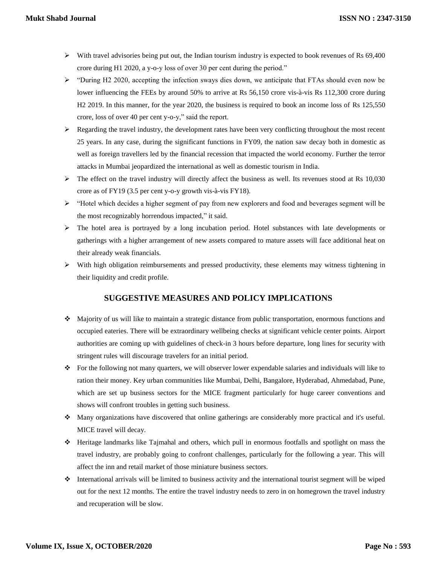- $\blacktriangleright$  With travel advisories being put out, the Indian tourism industry is expected to book revenues of Rs 69,400 crore during H1 2020, a y-o-y loss of over 30 per cent during the period."
- $\triangleright$  "During H2 2020, accepting the infection sways dies down, we anticipate that FTAs should even now be lower influencing the FEEs by around 50% to arrive at Rs 56,150 crore vis-à-vis Rs 112,300 crore during H2 2019. In this manner, for the year 2020, the business is required to book an income loss of Rs 125,550 crore, loss of over 40 per cent y-o-y," said the report.
- $\triangleright$  Regarding the travel industry, the development rates have been very conflicting throughout the most recent 25 years. In any case, during the significant functions in FY09, the nation saw decay both in domestic as well as foreign travellers led by the financial recession that impacted the world economy. Further the terror attacks in Mumbai jeopardized the international as well as domestic tourism in India.
- The effect on the travel industry will directly affect the business as well. Its revenues stood at Rs 10,030 crore as of FY19 (3.5 per cent y-o-y growth vis-à-vis FY18).
- $\triangleright$  "Hotel which decides a higher segment of pay from new explorers and food and beverages segment will be the most recognizably horrendous impacted," it said.
- $\triangleright$  The hotel area is portrayed by a long incubation period. Hotel substances with late developments or gatherings with a higher arrangement of new assets compared to mature assets will face additional heat on their already weak financials.
- $\triangleright$  With high obligation reimbursements and pressed productivity, these elements may witness tightening in their liquidity and credit profile.

## **SUGGESTIVE MEASURES AND POLICY IMPLICATIONS**

- Majority of us will like to maintain a strategic distance from public transportation, enormous functions and occupied eateries. There will be extraordinary wellbeing checks at significant vehicle center points. Airport authorities are coming up with guidelines of check-in 3 hours before departure, long lines for security with stringent rules will discourage travelers for an initial period.
- For the following not many quarters, we will observer lower expendable salaries and individuals will like to ration their money. Key urban communities like Mumbai, Delhi, Bangalore, Hyderabad, Ahmedabad, Pune, which are set up business sectors for the MICE fragment particularly for huge career conventions and shows will confront troubles in getting such business.
- Many organizations have discovered that online gatherings are considerably more practical and it's useful. MICE travel will decay.
- $\div$  Heritage landmarks like Tajmahal and others, which pull in enormous footfalls and spotlight on mass the travel industry, are probably going to confront challenges, particularly for the following a year. This will affect the inn and retail market of those miniature business sectors.
- $\bullet$  International arrivals will be limited to business activity and the international tourist segment will be wiped out for the next 12 months. The entire the travel industry needs to zero in on homegrown the travel industry and recuperation will be slow.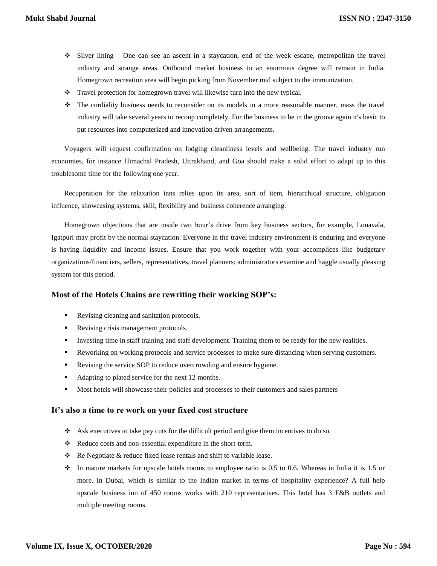- $\div$  Silver lining One can see an ascent in a staycation, end of the week escape, metropolitan the travel industry and strange areas. Outbound market business to an enormous degree will remain in India. Homegrown recreation area will begin picking from November mid subject to the immunization.
- \* Travel protection for homegrown travel will likewise turn into the new typical.
- The cordiality business needs to reconsider on its models in a more reasonable manner, mass the travel industry will take several years to recoup completely. For the business to be in the groove again it's basic to put resources into computerized and innovation driven arrangements.

Voyagers will request confirmation on lodging cleanliness levels and wellbeing. The travel industry run economies, for instance Himachal Pradesh, Uttrakhand, and Goa should make a solid effort to adapt up to this troublesome time for the following one year.

Recuperation for the relaxation inns relies upon its area, sort of item, hierarchical structure, obligation influence, showcasing systems, skill, flexibility and business coherence arranging.

Homegrown objections that are inside two hour's drive from key business sectors, for example, Lonavala, Igatpuri may profit by the normal staycation. Everyone in the travel industry environment is enduring and everyone is having liquidity and income issues. Ensure that you work together with your accomplices like budgetary organizations/financiers, sellers, representatives, travel planners; administrators examine and haggle usually pleasing system for this period.

## **Most of the Hotels Chains are rewriting their working SOP's:**

- Revising cleaning and sanitation protocols.
- Revising crisis management protocols.
- Investing time in staff training and staff development. Training them to be ready for the new realities.
- Reworking on working protocols and service processes to make sure distancing when serving customers.
- Revising the service SOP to reduce overcrowding and ensure hygiene.
- Adapting to plated service for the next 12 months.
- Most hotels will showcase their policies and processes to their customers and sales partners

### **It's also a time to re work on your fixed cost structure**

- \* Ask executives to take pay cuts for the difficult period and give them incentives to do so.
- \* Reduce costs and non-essential expenditure in the short-term.
- $\triangle$  Re Negotiate & reduce fixed lease rentals and shift to variable lease.
- $\cdot \cdot$  In mature markets for upscale hotels rooms to employee ratio is 0.5 to 0.6. Whereas in India it is 1.5 or more. In Dubai, which is similar to the Indian market in terms of hospitality experience? A full help upscale business inn of 450 rooms works with 210 representatives. This hotel has 3 F&B outlets and multiple meeting rooms.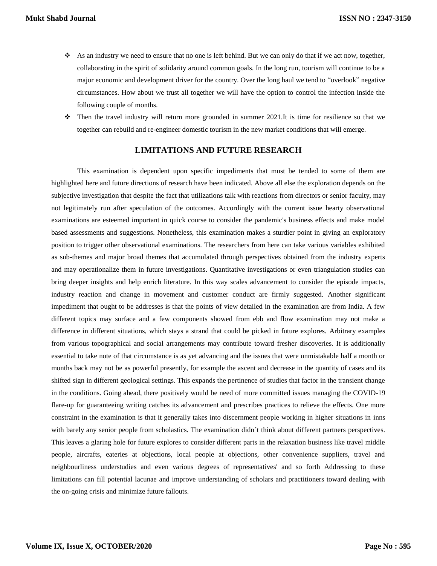- As an industry we need to ensure that no one is left behind. But we can only do that if we act now, together, collaborating in the spirit of solidarity around common goals. In the long run, tourism will continue to be a major economic and development driver for the country. Over the long haul we tend to "overlook" negative circumstances. How about we trust all together we will have the option to control the infection inside the following couple of months.
- $\hat{\cdot}$  Then the travel industry will return more grounded in summer 2021.It is time for resilience so that we together can rebuild and re-engineer domestic tourism in the new market conditions that will emerge.

## **LIMITATIONS AND FUTURE RESEARCH**

This examination is dependent upon specific impediments that must be tended to some of them are highlighted here and future directions of research have been indicated. Above all else the exploration depends on the subjective investigation that despite the fact that utilizations talk with reactions from directors or senior faculty, may not legitimately run after speculation of the outcomes. Accordingly with the current issue hearty observational examinations are esteemed important in quick course to consider the pandemic's business effects and make model based assessments and suggestions. Nonetheless, this examination makes a sturdier point in giving an exploratory position to trigger other observational examinations. The researchers from here can take various variables exhibited as sub-themes and major broad themes that accumulated through perspectives obtained from the industry experts and may operationalize them in future investigations. Quantitative investigations or even triangulation studies can bring deeper insights and help enrich literature. In this way scales advancement to consider the episode impacts, industry reaction and change in movement and customer conduct are firmly suggested. Another significant impediment that ought to be addresses is that the points of view detailed in the examination are from India. A few different topics may surface and a few components showed from ebb and flow examination may not make a difference in different situations, which stays a strand that could be picked in future explores. Arbitrary examples from various topographical and social arrangements may contribute toward fresher discoveries. It is additionally essential to take note of that circumstance is as yet advancing and the issues that were unmistakable half a month or months back may not be as powerful presently, for example the ascent and decrease in the quantity of cases and its shifted sign in different geological settings. This expands the pertinence of studies that factor in the transient change in the conditions. Going ahead, there positively would be need of more committed issues managing the COVID-19 flare-up for guaranteeing writing catches its advancement and prescribes practices to relieve the effects. One more constraint in the examination is that it generally takes into discernment people working in higher situations in inns with barely any senior people from scholastics. The examination didn't think about different partners perspectives. This leaves a glaring hole for future explores to consider different parts in the relaxation business like travel middle people, aircrafts, eateries at objections, local people at objections, other convenience suppliers, travel and neighbourliness understudies and even various degrees of representatives' and so forth Addressing to these limitations can fill potential lacunae and improve understanding of scholars and practitioners toward dealing with the on-going crisis and minimize future fallouts.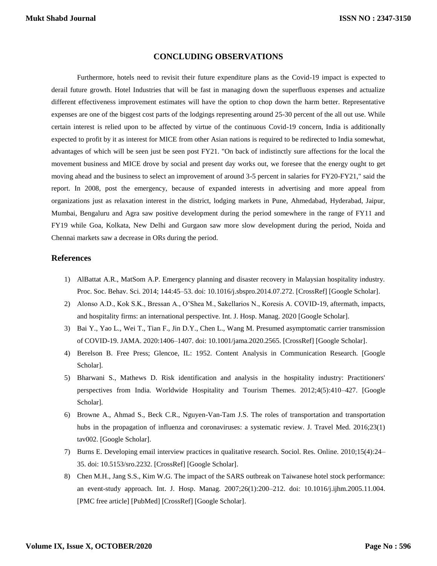### **CONCLUDING OBSERVATIONS**

Furthermore, hotels need to revisit their future expenditure plans as the Covid-19 impact is expected to derail future growth. Hotel Industries that will be fast in managing down the superfluous expenses and actualize different effectiveness improvement estimates will have the option to chop down the harm better. Representative expenses are one of the biggest cost parts of the lodgings representing around 25-30 percent of the all out use. While certain interest is relied upon to be affected by virtue of the continuous Covid-19 concern, India is additionally expected to profit by it as interest for MICE from other Asian nations is required to be redirected to India somewhat, advantages of which will be seen just be seen post FY21. "On back of indistinctly sure affections for the local the movement business and MICE drove by social and present day works out, we foresee that the energy ought to get moving ahead and the business to select an improvement of around 3-5 percent in salaries for FY20-FY21," said the report. In 2008, post the emergency, because of expanded interests in advertising and more appeal from organizations just as relaxation interest in the district, lodging markets in Pune, Ahmedabad, Hyderabad, Jaipur, Mumbai, Bengaluru and Agra saw positive development during the period somewhere in the range of FY11 and FY19 while Goa, Kolkata, New Delhi and Gurgaon saw more slow development during the period, Noida and Chennai markets saw a decrease in ORs during the period.

#### **References**

- 1) AlBattat A.R., MatSom A.P. Emergency planning and disaster recovery in Malaysian hospitality industry. Proc. Soc. Behav. Sci. 2014; 144:45–53. doi: 10.1016/j.sbspro.2014.07.272. [CrossRef] [Google Scholar].
- 2) Alonso A.D., Kok S.K., Bressan A., O'Shea M., Sakellarios N., Koresis A. COVID-19, aftermath, impacts, and hospitality firms: an international perspective. Int. J. Hosp. Manag. 2020 [Google Scholar].
- 3) Bai Y., Yao L., Wei T., Tian F., Jin D.Y., Chen L., Wang M. Presumed asymptomatic carrier transmission of COVID-19. JAMA. 2020:1406–1407. doi: 10.1001/jama.2020.2565. [CrossRef] [Google Scholar].
- 4) Berelson B. Free Press; Glencoe, IL: 1952. Content Analysis in Communication Research. [Google Scholar].
- 5) Bharwani S., Mathews D. Risk identification and analysis in the hospitality industry: Practitioners' perspectives from India. Worldwide Hospitality and Tourism Themes. 2012;4(5):410–427. [Google Scholar].
- 6) Browne A., Ahmad S., Beck C.R., Nguyen-Van-Tam J.S. The roles of transportation and transportation hubs in the propagation of influenza and coronaviruses: a systematic review. J. Travel Med. 2016;23(1) tav002. [Google Scholar].
- 7) Burns E. Developing email interview practices in qualitative research. Sociol. Res. Online. 2010;15(4):24– 35. doi: 10.5153/sro.2232. [CrossRef] [Google Scholar].
- 8) Chen M.H., Jang S.S., Kim W.G. The impact of the SARS outbreak on Taiwanese hotel stock performance: an event-study approach. Int. J. Hosp. Manag. 2007;26(1):200–212. doi: 10.1016/j.ijhm.2005.11.004. [PMC free article] [PubMed] [CrossRef] [Google Scholar].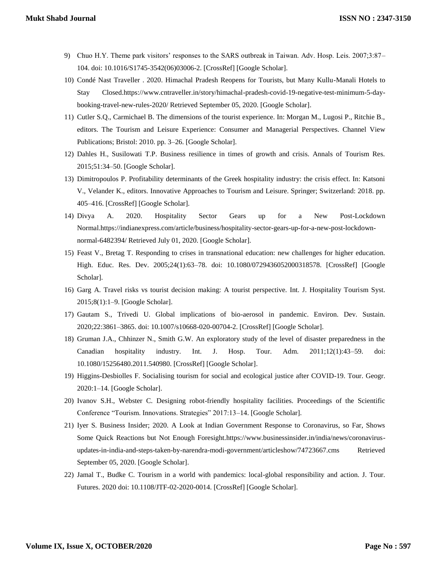- 9) Chuo H.Y. Theme park visitors' responses to the SARS outbreak in Taiwan. Adv. Hosp. Leis. 2007;3:87– 104. doi: 10.1016/S1745-3542(06)03006-2. [CrossRef] [Google Scholar].
- 10) Condé Nast Traveller . 2020. Himachal Pradesh Reopens for Tourists, but Many Kullu-Manali Hotels to Stay Closed.https://www.cntraveller.in/story/himachal-pradesh-covid-19-negative-test-minimum-5-daybooking-travel-new-rules-2020/ Retrieved September 05, 2020. [Google Scholar].
- 11) Cutler S.Q., Carmichael B. The dimensions of the tourist experience. In: Morgan M., Lugosi P., Ritchie B., editors. The Tourism and Leisure Experience: Consumer and Managerial Perspectives. Channel View Publications; Bristol: 2010. pp. 3–26. [Google Scholar].
- 12) Dahles H., Susilowati T.P. Business resilience in times of growth and crisis. Annals of Tourism Res. 2015;51:34–50. [Google Scholar].
- 13) Dimitropoulos P. Profitability determinants of the Greek hospitality industry: the crisis effect. In: Katsoni V., Velander K., editors. Innovative Approaches to Tourism and Leisure. Springer; Switzerland: 2018. pp. 405–416. [CrossRef] [Google Scholar].
- 14) Divya A. 2020. Hospitality Sector Gears up for a New Post-Lockdown Normal.https://indianexpress.com/article/business/hospitality-sector-gears-up-for-a-new-post-lockdownnormal-6482394/ Retrieved July 01, 2020. [Google Scholar].
- 15) Feast V., Bretag T. Responding to crises in transnational education: new challenges for higher education. High. Educ. Res. Dev. 2005;24(1):63–78. doi: 10.1080/0729436052000318578. [CrossRef] [Google Scholar].
- 16) Garg A. Travel risks vs tourist decision making: A tourist perspective. Int. J. Hospitality Tourism Syst. 2015;8(1):1–9. [Google Scholar].
- 17) Gautam S., Trivedi U. Global implications of bio-aerosol in pandemic. Environ. Dev. Sustain. 2020;22:3861–3865. doi: 10.1007/s10668-020-00704-2. [CrossRef] [Google Scholar].
- 18) Gruman J.A., Chhinzer N., Smith G.W. An exploratory study of the level of disaster preparedness in the Canadian hospitality industry. Int. J. Hosp. Tour. Adm. 2011;12(1):43–59. doi: 10.1080/15256480.2011.540980. [CrossRef] [Google Scholar].
- 19) Higgins-Desbiolles F. Socialising tourism for social and ecological justice after COVID-19. Tour. Geogr. 2020:1–14. [Google Scholar].
- 20) Ivanov S.H., Webster C. Designing robot-friendly hospitality facilities. Proceedings of the Scientific Conference "Tourism. Innovations. Strategies" 2017:13–14. [Google Scholar].
- 21) Iyer S. Business Insider; 2020. A Look at Indian Government Response to Coronavirus, so Far, Shows Some Quick Reactions but Not Enough Foresight.https://www.businessinsider.in/india/news/coronavirusupdates-in-india-and-steps-taken-by-narendra-modi-government/articleshow/74723667.cms Retrieved September 05, 2020. [Google Scholar].
- 22) Jamal T., Budke C. Tourism in a world with pandemics: local-global responsibility and action. J. Tour. Futures. 2020 doi: 10.1108/JTF-02-2020-0014. [CrossRef] [Google Scholar].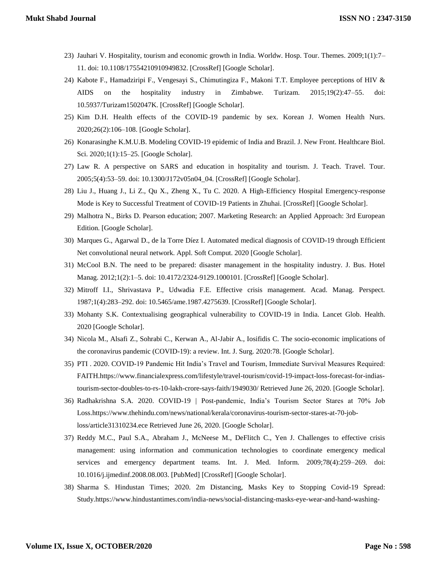- 23) Jauhari V. Hospitality, tourism and economic growth in India. Worldw. Hosp. Tour. Themes. 2009;1(1):7– 11. doi: 10.1108/17554210910949832. [CrossRef] [Google Scholar].
- 24) Kabote F., Hamadziripi F., Vengesayi S., Chimutingiza F., Makoni T.T. Employee perceptions of HIV & AIDS on the hospitality industry in Zimbabwe. Turizam. 2015;19(2):47–55. doi: 10.5937/Turizam1502047K. [CrossRef] [Google Scholar].
- 25) Kim D.H. Health effects of the COVID-19 pandemic by sex. Korean J. Women Health Nurs. 2020;26(2):106–108. [Google Scholar].
- 26) Konarasinghe K.M.U.B. Modeling COVID-19 epidemic of India and Brazil. J. New Front. Healthcare Biol. Sci. 2020;1(1):15–25. [Google Scholar].
- 27) Law R. A perspective on SARS and education in hospitality and tourism. J. Teach. Travel. Tour. 2005;5(4):53–59. doi: 10.1300/J172v05n04\_04. [CrossRef] [Google Scholar].
- 28) Liu J., Huang J., Li Z., Qu X., Zheng X., Tu C. 2020. A High-Efficiency Hospital Emergency-response Mode is Key to Successful Treatment of COVID-19 Patients in Zhuhai. [CrossRef] [Google Scholar].
- 29) Malhotra N., Birks D. Pearson education; 2007. Marketing Research: an Applied Approach: 3rd European Edition. [Google Scholar].
- 30) Marques G., Agarwal D., de la Torre Díez I. Automated medical diagnosis of COVID-19 through Efficient Net convolutional neural network. Appl. Soft Comput. 2020 [Google Scholar].
- 31) McCool B.N. The need to be prepared: disaster management in the hospitality industry. J. Bus. Hotel Manag. 2012;1(2):1–5. doi: 10.4172/2324-9129.1000101. [CrossRef] [Google Scholar].
- 32) Mitroff I.I., Shrivastava P., Udwadia F.E. Effective crisis management. Acad. Manag. Perspect. 1987;1(4):283–292. doi: 10.5465/ame.1987.4275639. [CrossRef] [Google Scholar].
- 33) Mohanty S.K. Contextualising geographical vulnerability to COVID-19 in India. Lancet Glob. Health. 2020 [Google Scholar].
- 34) Nicola M., Alsafi Z., Sohrabi C., Kerwan A., Al-Jabir A., Iosifidis C. The socio-economic implications of the coronavirus pandemic (COVID-19): a review. Int. J. Surg. 2020:78. [Google Scholar].
- 35) PTI . 2020. COVID-19 Pandemic Hit India's Travel and Tourism, Immediate Survival Measures Required: FAITH.https://www.financialexpress.com/lifestyle/travel-tourism/covid-19-impact-loss-forecast-for-indiastourism-sector-doubles-to-rs-10-lakh-crore-says-faith/1949030/ Retrieved June 26, 2020. [Google Scholar].
- 36) Radhakrishna S.A. 2020. COVID-19 | Post-pandemic, India's Tourism Sector Stares at 70% Job Loss.https://www.thehindu.com/news/national/kerala/coronavirus-tourism-sector-stares-at-70-jobloss/article31310234.ece Retrieved June 26, 2020. [Google Scholar].
- 37) Reddy M.C., Paul S.A., Abraham J., McNeese M., DeFlitch C., Yen J. Challenges to effective crisis management: using information and communication technologies to coordinate emergency medical services and emergency department teams. Int. J. Med. Inform. 2009;78(4):259–269. doi: 10.1016/j.ijmedinf.2008.08.003. [PubMed] [CrossRef] [Google Scholar].
- 38) Sharma S. Hindustan Times; 2020. 2m Distancing, Masks Key to Stopping Covid-19 Spread: Study.https://www.hindustantimes.com/india-news/social-distancing-masks-eye-wear-and-hand-washing-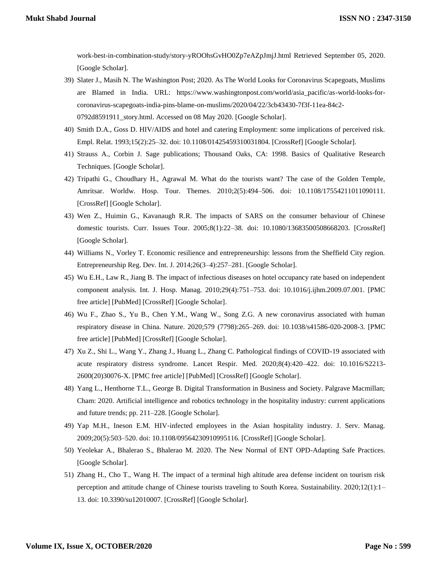work-best-in-combination-study/story-yROOhsGvHO0Zp7eAZpJmjJ.html Retrieved September 05, 2020. [Google Scholar].

- 39) Slater J., Masih N. The Washington Post; 2020. As The World Looks for Coronavirus Scapegoats, Muslims are Blamed in India. URL: https://www.washingtonpost.com/world/asia\_pacific/as-world-looks-forcoronavirus-scapegoats-india-pins-blame-on-muslims/2020/04/22/3cb43430-7f3f-11ea-84c2- 0792d8591911\_story.html. Accessed on 08 May 2020. [Google Scholar].
- 40) Smith D.A., Goss D. HIV/AIDS and hotel and catering Employment: some implications of perceived risk. Empl. Relat. 1993;15(2):25–32. doi: 10.1108/01425459310031804. [CrossRef] [Google Scholar].
- 41) Strauss A., Corbin J. Sage publications; Thousand Oaks, CA: 1998. Basics of Qualitative Research Techniques. [Google Scholar].
- 42) Tripathi G., Choudhary H., Agrawal M. What do the tourists want? The case of the Golden Temple, Amritsar. Worldw. Hosp. Tour. Themes. 2010;2(5):494–506. doi: 10.1108/17554211011090111. [CrossRef] [Google Scholar].
- 43) Wen Z., Huimin G., Kavanaugh R.R. The impacts of SARS on the consumer behaviour of Chinese domestic tourists. Curr. Issues Tour. 2005;8(1):22–38. doi: 10.1080/13683500508668203. [CrossRef] [Google Scholar].
- 44) Williams N., Vorley T. Economic resilience and entrepreneurship: lessons from the Sheffield City region. Entrepreneurship Reg. Dev. Int. J. 2014;26(3–4):257–281. [Google Scholar].
- 45) Wu E.H., Law R., Jiang B. The impact of infectious diseases on hotel occupancy rate based on independent component analysis. Int. J. Hosp. Manag. 2010;29(4):751–753. doi: 10.1016/j.ijhm.2009.07.001. [PMC free article] [PubMed] [CrossRef] [Google Scholar].
- 46) Wu F., Zhao S., Yu B., Chen Y.M., Wang W., Song Z.G. A new coronavirus associated with human respiratory disease in China. Nature. 2020;579 (7798):265–269. doi: 10.1038/s41586-020-2008-3. [PMC free article] [PubMed] [CrossRef] [Google Scholar].
- 47) Xu Z., Shi L., Wang Y., Zhang J., Huang L., Zhang C. Pathological findings of COVID-19 associated with acute respiratory distress syndrome. Lancet Respir. Med. 2020;8(4):420–422. doi: 10.1016/S2213- 2600(20)30076-X. [PMC free article] [PubMed] [CrossRef] [Google Scholar].
- 48) Yang L., Henthorne T.L., George B. Digital Transformation in Business and Society. Palgrave Macmillan; Cham: 2020. Artificial intelligence and robotics technology in the hospitality industry: current applications and future trends; pp. 211–228. [Google Scholar].
- 49) Yap M.H., Ineson E.M. HIV-infected employees in the Asian hospitality industry. J. Serv. Manag. 2009;20(5):503–520. doi: 10.1108/09564230910995116. [CrossRef] [Google Scholar].
- 50) Yeolekar A., Bhalerao S., Bhalerao M. 2020. The New Normal of ENT OPD-Adapting Safe Practices. [Google Scholar].
- 51) Zhang H., Cho T., Wang H. The impact of a terminal high altitude area defense incident on tourism risk perception and attitude change of Chinese tourists traveling to South Korea. Sustainability. 2020;12(1):1– 13. doi: 10.3390/su12010007. [CrossRef] [Google Scholar].